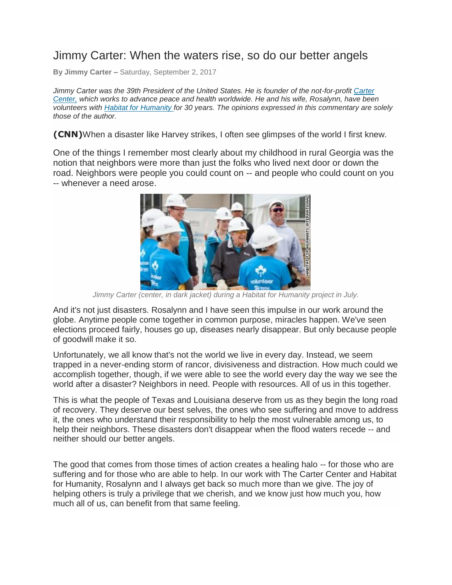## Jimmy Carter: When the waters rise, so do our better angels

**By Jimmy Carter –** Saturday, September 2, 2017

*Jimmy Carter was the 39th President of the United States. He is founder of the not-for-profit [Carter](https://www.cartercenter.org/)  [Center,](https://www.cartercenter.org/) which works to advance peace and health worldwide. He and his wife, Rosalynn, have been volunteers with [Habitat for Humanity](https://www.habitat.org/) for 30 years. The opinions expressed in this commentary are solely those of the author.*

**(CNN)**When a disaster like Harvey strikes, I often see glimpses of the world I first knew.

One of the things I remember most clearly about my childhood in rural Georgia was the notion that neighbors were more than just the folks who lived next door or down the road. Neighbors were people you could count on -- and people who could count on you -- whenever a need arose.



*Jimmy Carter (center, in dark jacket) during a Habitat for Humanity project in July.*

And it's not just disasters. Rosalynn and I have seen this impulse in our work around the globe. Anytime people come together in common purpose, miracles happen. We've seen elections proceed fairly, houses go up, diseases nearly disappear. But only because people of goodwill make it so.

Unfortunately, we all know that's not the world we live in every day. Instead, we seem trapped in a never-ending storm of rancor, divisiveness and distraction. How much could we accomplish together, though, if we were able to see the world every day the way we see the world after a disaster? Neighbors in need. People with resources. All of us in this together.

This is what the people of Texas and Louisiana deserve from us as they begin the long road of recovery. They deserve our best selves, the ones who see suffering and move to address it, the ones who understand their responsibility to help the most vulnerable among us, to help their neighbors. These disasters don't disappear when the flood waters recede -- and neither should our better angels.

The good that comes from those times of action creates a healing halo -- for those who are suffering and for those who are able to help. In our work with The Carter Center and Habitat for Humanity, Rosalynn and I always get back so much more than we give. The joy of helping others is truly a privilege that we cherish, and we know just how much you, how much all of us, can benefit from that same feeling.